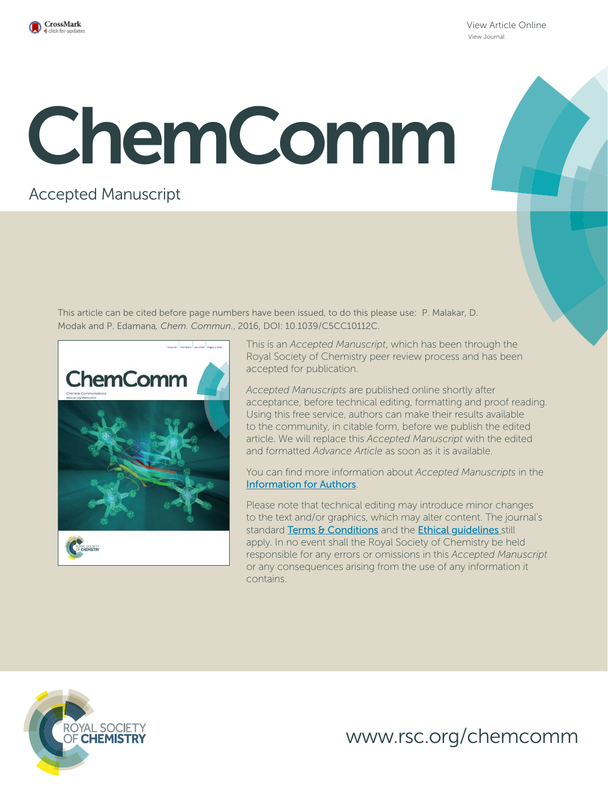

View Article Online View Journal

# ChemComm

### Accepted Manuscript

This article can be cited before page numbers have been issued, to do this please use: P. Malakar, D. Modak and P. Edamana*, Chem. Commun.*, 2016, DOI: 10.1039/C5CC10112C.



This is an *Accepted Manuscript*, which has been through the Royal Society of Chemistry peer review process and has been accepted for publication.

*Accepted Manuscripts* are published online shortly after acceptance, before technical editing, formatting and proof reading. Using this free service, authors can make their results available to the community, in citable form, before we publish the edited article. We will replace this *Accepted Manuscript* with the edited and formatted *Advance Article* as soon as it is available.

You can find more information about *Accepted Manuscripts* in the Information for Authors.

Please note that technical editing may introduce minor changes to the text and/or graphics, which may alter content. The journal's standard Terms & Conditions and the Ethical quidelines still apply. In no event shall the Royal Society of Chemistry be held responsible for any errors or omissions in this *Accepted Manuscript* or any consequences arising from the use of any information it contains.



www.rsc.org/chemcomm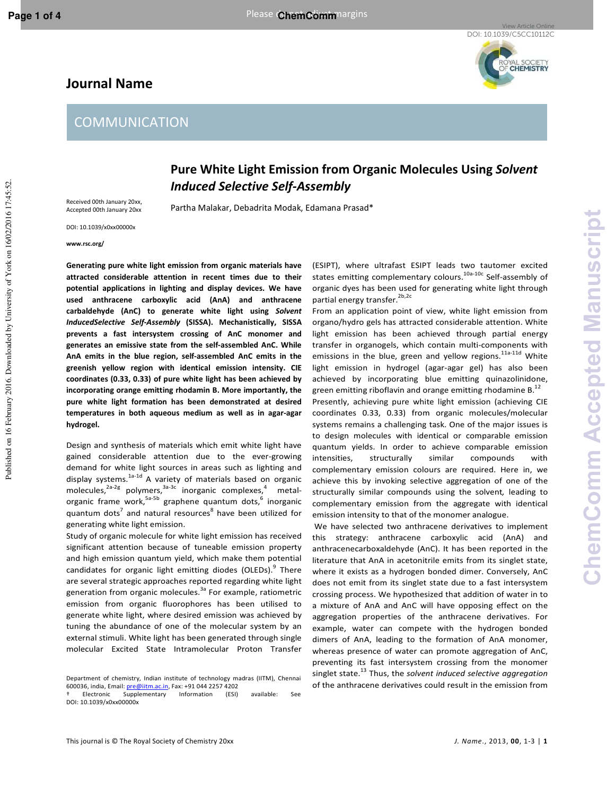Published on 16 February 2016. Downloaded by University of York on 16/02/2016 17:45:52.

Published on 16 February 2016. Downloaded by University of York on 16/02/2016 17:45:52

## YAL SOCIETY<br>**CHEMISTRY**

#### **Journal Name**

#### **COMMUNICATION**

#### **Pure White Light Emission from Organic Molecules Using** *Solvent Induced Selective Self-Assembly*

Received 00th January 20xx, Accepted 00th January 20xx

Partha Malakar, Debadrita Modak, Edamana Prasad\*

DOI: 10.1039/x0xx00000x

**www.rsc.org/** 

**Generating pure white light emission from organic materials have attracted considerable attention in recent times due to their potential applications in lighting and display devices. We have used anthracene carboxylic acid (AnA) and anthracene carbaldehyde (AnC) to generate white light using** *Solvent InducedSelective Self-Assembly* **(SISSA). Mechanistically, SISSA prevents a fast intersystem crossing of AnC monomer and generates an emissive state from the self-assembled AnC. While AnA emits in the blue region, self-assembled AnC emits in the greenish yellow region with identical emission intensity. CIE coordinates (0.33, 0.33) of pure white light has been achieved by incorporating orange emitting rhodamin B. More importantly, the pure white light formation has been demonstrated at desired temperatures in both aqueous medium as well as in agar-agar hydrogel.** 

Design and synthesis of materials which emit white light have gained considerable attention due to the ever-growing demand for white light sources in areas such as lighting and display systems.<sup>1a-1d</sup> A variety of materials based on organic molecules,  $2a-2g$  polymers,  $3a-3c$  inorganic complexes,  $4$  metalorganic frame work,<sup>5a-5b</sup> graphene quantum dots,<sup>6</sup> inorganic quantum dots<sup>7</sup> and natural resources<sup>8</sup> have been utilized for generating white light emission.

Study of organic molecule for white light emission has received significant attention because of tuneable emission property and high emission quantum yield, which make them potential candidates for organic light emitting diodes (OLEDs).<sup>9</sup> There are several strategic approaches reported regarding white light generation from organic molecules.<sup>3a</sup> For example, ratiometric emission from organic fluorophores has been utilised to generate white light, where desired emission was achieved by tuning the abundance of one of the molecular system by an external stimuli. White light has been generated through single molecular Excited State Intramolecular Proton Transfer

(ESIPT), where ultrafast ESIPT leads two tautomer excited states emitting complementary colours.<sup>10a-10c</sup> Self-assembly of organic dyes has been used for generating white light through partial energy transfer.<sup>2b,2c</sup>

From an application point of view, white light emission from organo/hydro gels has attracted considerable attention. White light emission has been achieved through partial energy transfer in organogels, which contain multi-components with emissions in the blue, green and yellow regions.<sup>11a-11d</sup> White light emission in hydrogel (agar-agar gel) has also been achieved by incorporating blue emitting quinazolinidone, green emitting riboflavin and orange emitting rhodamine  $B<sup>12</sup>$ Presently, achieving pure white light emission (achieving CIE coordinates 0.33, 0.33) from organic molecules/molecular systems remains a challenging task. One of the major issues is to design molecules with identical or comparable emission quantum yields. In order to achieve comparable emission intensities, structurally similar compounds with complementary emission colours are required. Here in, we achieve this by invoking selective aggregation of one of the

structurally similar compounds using the solvent*,* leading to complementary emission from the aggregate with identical emission intensity to that of the monomer analogue.

 We have selected two anthracene derivatives to implement this strategy: anthracene carboxylic acid (AnA) and anthracenecarboxaldehyde (AnC). It has been reported in the literature that AnA in acetonitrile emits from its singlet state, where it exists as a hydrogen bonded dimer. Conversely, AnC does not emit from its singlet state due to a fast intersystem crossing process. We hypothesized that addition of water in to a mixture of AnA and AnC will have opposing effect on the aggregation properties of the anthracene derivatives. For example, water can compete with the hydrogen bonded dimers of AnA, leading to the formation of AnA monomer, whereas presence of water can promote aggregation of AnC, preventing its fast intersystem crossing from the monomer singlet state.<sup>13</sup> Thus, the *solvent induced selective aggregation* of the anthracene derivatives could result in the emission from

Department of chemistry, Indian institute of technology madras (IITM), Chennai 600036, india, Email: pre@iitm.ac.in, Fax: +91 044 2257 4202

Supplementary Information (ESI) available: See DOI: 10.1039/x0xx00000x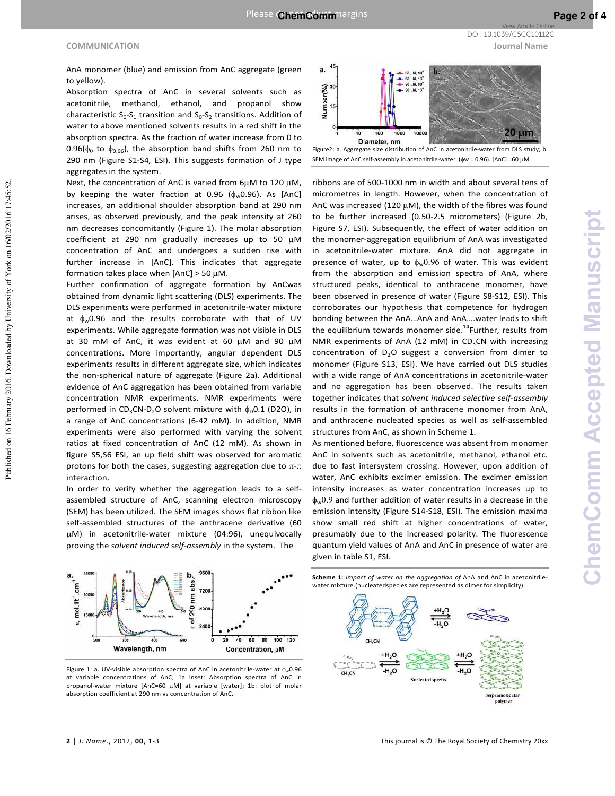#### **COMMUNICATION Journal Name**

Published on 16 February 2016. Downloaded by University of York on 16/02/2016 17:45:52.

Published on 16 February 2016. Downloaded by University of York on 16/02/2016 17:45:52

AnA monomer (blue) and emission from AnC aggregate (green to yellow).

Absorption spectra of AnC in several solvents such as acetonitrile, methanol, ethanol, and propanol show characteristic  $S_0$ - $S_1$  transition and  $S_0$ - $S_2$  transitions. Addition of water to above mentioned solvents results in a red shift in the absorption spectra. As the fraction of water increase from 0 to 0.96( $\phi_0$  to  $\phi_{0.96}$ ), the absorption band shifts from 260 nm to 290 nm (Figure S1-S4, ESI). This suggests formation of J type aggregates in the system.

Next, the concentration of AnC is varied from  $6\mu$ M to 120  $\mu$ M, by keeping the water fraction at 0.96  $(\phi_w 0.96)$ . As [AnC] increases, an additional shoulder absorption band at 290 nm arises, as observed previously, and the peak intensity at 260 nm decreases concomitantly (Figure 1). The molar absorption coefficient at 290 nm gradually increases up to 50  $\mu$ M concentration of AnC and undergoes a sudden rise with further increase in [AnC]. This indicates that aggregate formation takes place when  $[AnC] > 50 \mu M$ .

Further confirmation of aggregate formation by AnCwas obtained from dynamic light scattering (DLS) experiments. The DLS experiments were performed in acetonitrile-water mixture at  $\phi_w 0.96$  and the results corroborate with that of UV experiments. While aggregate formation was not visible in DLS at 30 mM of AnC, it was evident at 60  $\mu$ M and 90  $\mu$ M concentrations. More importantly, angular dependent DLS experiments results in different aggregate size, which indicates the non-spherical nature of aggregate (Figure 2a). Additional evidence of AnC aggregation has been obtained from variable concentration NMR experiments. NMR experiments were performed in CD<sub>3</sub>CN-D<sub>2</sub>O solvent mixture with  $\phi_D$ 0.1 (D2O), in a range of AnC concentrations (6-42 mM). In addition, NMR experiments were also performed with varying the solvent ratios at fixed concentration of AnC (12 mM). As shown in figure S5,S6 ESI, an up field shift was observed for aromatic protons for both the cases, suggesting aggregation due to  $\pi$ - $\pi$ interaction.

In order to verify whether the aggregation leads to a selfassembled structure of AnC, scanning electron microscopy (SEM) has been utilized. The SEM images shows flat ribbon like self-assembled structures of the anthracene derivative (60 M) in acetonitrile-water mixture (04:96), unequivocally proving the *solvent induced self-assembly* in the system. The



Figure 1: a. UV-visible absorption spectra of AnC in acetonitrile-water at  $\phi_w 0.96$ at variable concentrations of AnC; 1a inset: Absorption spectra of AnC in propanol-water mixture [AnC=60  $\mu$ M] at variable [water]; 1b: plot of molar absorption coefficient at 290 nm vs concentration of AnC.

a. 60 µM, 90<sup>'</sup><br>60 µM, 13<sup>'</sup> Number(%)<br><sub>of</sub><br>a  $20 \mu m$ 100 1000 10000 Diameter, nm Figure2: a. Aggregate size distribution of AnC in acetonitrile-water from DLS study; b.

SEM image of AnC self-assembly in acetonitrile-water. (φw = 0.96). [AnC] =60 μM

ribbons are of 500-1000 nm in width and about several tens of micrometres in length. However, when the concentration of AnC was increased (120  $\mu$ M), the width of the fibres was found to be further increased (0.50-2.5 micrometers) (Figure 2b, Figure S7, ESI). Subsequently, the effect of water addition on the monomer-aggregation equilibrium of AnA was investigated in acetonitrile-water mixture. AnA did not aggregate in presence of water, up to  $\phi_w(0.96)$  of water. This was evident from the absorption and emission spectra of AnA, where structured peaks, identical to anthracene monomer, have been observed in presence of water (Figure S8-S12, ESI). This corroborates our hypothesis that competence for hydrogen bonding between the AnA…AnA and AnA….water leads to shift the equilibrium towards monomer side.<sup>14</sup>Further, results from NMR experiments of AnA (12 mM) in  $CD_3CN$  with increasing concentration of  $D_2O$  suggest a conversion from dimer to monomer (Figure S13, ESI). We have carried out DLS studies with a wide range of AnA concentrations in acetonitrile-water and no aggregation has been observed. The results taken together indicates that *solvent induced selective self-assembly*  results in the formation of anthracene monomer from AnA, and anthracene nucleated species as well as self-assembled structures from AnC, as shown in Scheme 1.

As mentioned before, fluorescence was absent from monomer AnC in solvents such as acetonitrile, methanol, ethanol etc. due to fast intersystem crossing. However, upon addition of water, AnC exhibits excimer emission. The excimer emission intensity increases as water concentration increases up to  $\phi_w$ 0.9 and further addition of water results in a decrease in the emission intensity (Figure S14-S18, ESI). The emission maxima show small red shift at higher concentrations of water, presumably due to the increased polarity. The fluorescence quantum yield values of AnA and AnC in presence of water are given in table S1, ESI.





DOI: 10.1039/C5CC10112C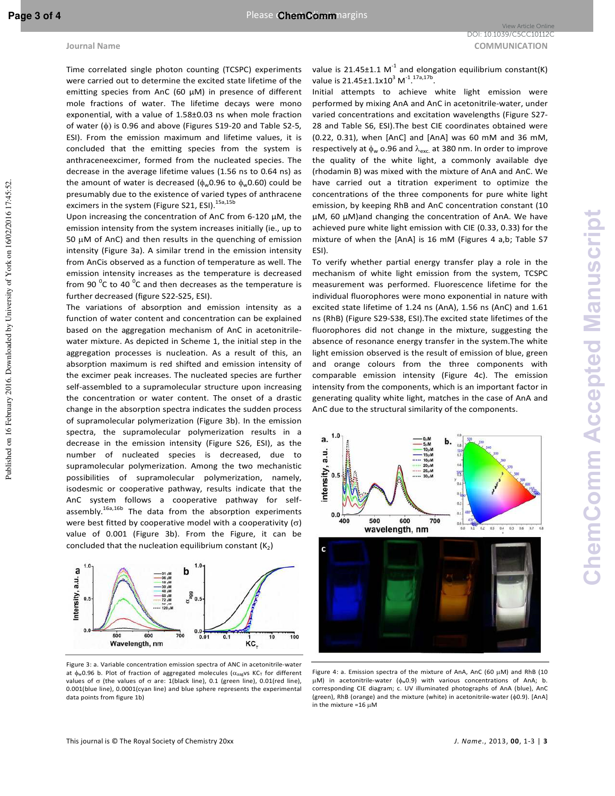Published on 16 February 2016. Downloaded by University of York on 16/02/2016 17:45:52.

Published on 16 February 2016. Downloaded by University of York on 16/02/2016 17:45:52

Time correlated single photon counting (TCSPC) experiments were carried out to determine the excited state lifetime of the emitting species from AnC (60 µM) in presence of different mole fractions of water. The lifetime decays were mono exponential, with a value of 1.58±0.03 ns when mole fraction of water (φ) is 0.96 and above (Figures S19-20 and Table S2-5, ESI). From the emission maximum and lifetime values, it is concluded that the emitting species from the system is anthraceneexcimer, formed from the nucleated species. The decrease in the average lifetime values (1.56 ns to 0.64 ns) as the amount of water is decreased ( $\phi_w$ 0.96 to  $\phi_w$ 0.60) could be presumably due to the existence of varied types of anthracene excimers in the system (Figure S21, ESI).<sup>15a,15b</sup>

Upon increasing the concentration of AnC from 6-120 µM, the emission intensity from the system increases initially (ie., up to 50  $\mu$ M of AnC) and then results in the quenching of emission intensity (Figure 3a). A similar trend in the emission intensity from AnCis observed as a function of temperature as well. The emission intensity increases as the temperature is decreased from 90  $\mathrm{^0C}$  to 40  $\mathrm{^0C}$  and then decreases as the temperature is further decreased (figure S22-S25, ESI).

The variations of absorption and emission intensity as a function of water content and concentration can be explained based on the aggregation mechanism of AnC in acetonitrilewater mixture. As depicted in Scheme 1, the initial step in the aggregation processes is nucleation. As a result of this, an absorption maximum is red shifted and emission intensity of the excimer peak increases. The nucleated species are further self-assembled to a supramolecular structure upon increasing the concentration or water content. The onset of a drastic change in the absorption spectra indicates the sudden process of supramolecular polymerization (Figure 3b). In the emission spectra, the supramolecular polymerization results in a decrease in the emission intensity (Figure S26, ESI), as the number of nucleated species is decreased, due to supramolecular polymerization. Among the two mechanistic possibilities of supramolecular polymerization, namely, isodesmic or cooperative pathway, results indicate that the AnC system follows a cooperative pathway for selfassembly.<sup>16a,16b</sup> The data from the absorption experiments were best fitted by cooperative model with a cooperativity  $(\sigma)$ value of 0.001 (Figure 3b). From the Figure, it can be concluded that the nucleation equilibrium constant  $(K_2)$ 



Figure 3: a. Variable concentration emission spectra of ANC in acetonitrile-water at  $\phi_w$ 0.96 b. Plot of fraction of aggregated molecules ( $\alpha_{\text{aag}}$ vs KC<sub>T</sub> for different values of σ (the values of σ are: 1(black line), 0.1 (green line), 0.01(red line), 0.001(blue line), 0.0001(cyan line) and blue sphere represents the experimental data points from figure 1b)

value is 21.45 $\pm$ 1.1 M<sup>-1</sup> and elongation equilibrium constant(K) value is 21.45±1.1x10<sup>3</sup> M<sup>-1.17a,17b</sup>.

Initial attempts to achieve white light emission were performed by mixing AnA and AnC in acetonitrile-water, under varied concentrations and excitation wavelengths (Figure S27- 28 and Table S6, ESI).The best CIE coordinates obtained were (0.22, 0.31), when [AnC] and [AnA] was 60 mM and 36 mM, respectively at  $\phi_w$  o.96 and  $\lambda_{\text{exc}}$  at 380 nm. In order to improve the quality of the white light, a commonly available dye (rhodamin B) was mixed with the mixture of AnA and AnC. We have carried out a titration experiment to optimize the concentrations of the three components for pure white light emission, by keeping RhB and AnC concentration constant (10 µM, 60 µM)and changing the concentration of AnA. We have achieved pure white light emission with CIE (0.33, 0.33) for the mixture of when the [AnA] is 16 mM (Figures 4 a,b; Table S7 ESI).

To verify whether partial energy transfer play a role in the mechanism of white light emission from the system, TCSPC measurement was performed. Fluorescence lifetime for the individual fluorophores were mono exponential in nature with excited state lifetime of 1.24 ns (AnA), 1.56 ns (AnC) and 1.61 ns (RhB) (Figure S29-S38, ESI).The excited state lifetimes of the fluorophores did not change in the mixture, suggesting the absence of resonance energy transfer in the system.The white light emission observed is the result of emission of blue, green and orange colours from the three components with comparable emission intensity (Figure 4c). The emission intensity from the components, which is an important factor in generating quality white light, matches in the case of AnA and AnC due to the structural similarity of the components.



Figure 4: a. Emission spectra of the mixture of AnA, AnC (60  $\mu$ M) and RhB (10 M) in acetonitrile-water (φw0.9) with various concentrations of AnA; b. corresponding CIE diagram; c. UV illuminated photographs of AnA (blue), AnC (green), RhB (orange) and the mixture (white) in acetonitrile-water (φ0.9). [AnA] in the mixture  $=16 \text{ }\mu\text{M}$